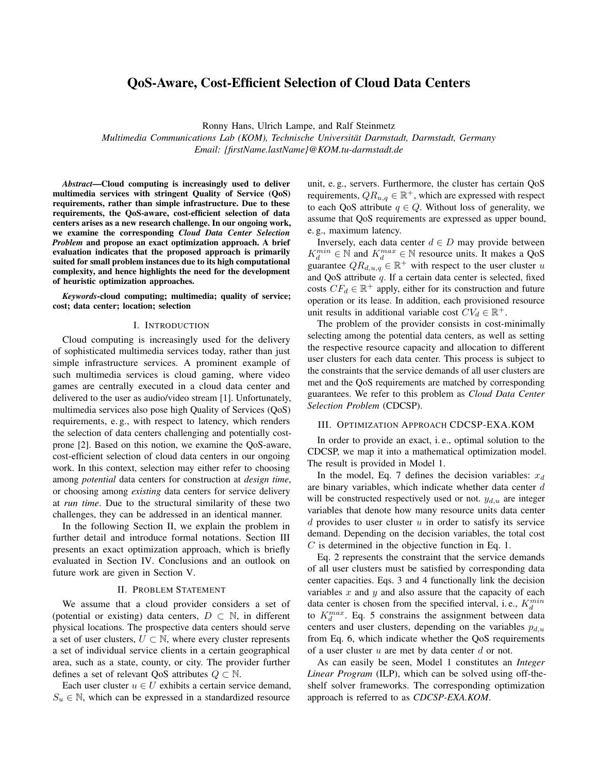# QoS-Aware, Cost-Efficient Selection of Cloud Data Centers

Ronny Hans, Ulrich Lampe, and Ralf Steinmetz

*Multimedia Communications Lab (KOM), Technische Universität Darmstadt, Darmstadt, Germany Email: {firstName.lastName}@KOM.tu-darmstadt.de*

*Abstract*—Cloud computing is increasingly used to deliver multimedia services with stringent Quality of Service (QoS) requirements, rather than simple infrastructure. Due to these requirements, the QoS-aware, cost-efficient selection of data centers arises as a new research challenge. In our ongoing work, we examine the corresponding *Cloud Data Center Selection Problem* and propose an exact optimization approach. A brief evaluation indicates that the proposed approach is primarily suited for small problem instances due to its high computational complexity, and hence highlights the need for the development of heuristic optimization approaches.

*Keywords*-cloud computing; multimedia; quality of service; cost; data center; location; selection

#### I. INTRODUCTION

<span id="page-0-2"></span>Cloud computing is increasingly used for the delivery of sophisticated multimedia services today, rather than just simple infrastructure services. A prominent example of such multimedia services is cloud gaming, where video games are centrally executed in a cloud data center and delivered to the user as audio/video stream [\[1\]](#page-1-0). Unfortunately, multimedia services also pose high Quality of Services (QoS) requirements, e. g., with respect to latency, which renders the selection of data centers challenging and potentially costprone [\[2\]](#page-1-1). Based on this notion, we examine the QoS-aware, cost-efficient selection of cloud data centers in our ongoing work. In this context, selection may either refer to choosing among *potential* data centers for construction at *design time*, or choosing among *existing* data centers for service delivery at *run time*. Due to the structural similarity of these two challenges, they can be addressed in an identical manner.

In the following Section [II,](#page-0-0) we explain the problem in further detail and introduce formal notations. Section [III](#page-0-1) presents an exact optimization approach, which is briefly evaluated in Section [IV.](#page-1-2) Conclusions and an outlook on future work are given in Section [V.](#page-1-3)

## II. PROBLEM STATEMENT

<span id="page-0-0"></span>We assume that a cloud provider considers a set of (potential or existing) data centers,  $D \subset \mathbb{N}$ , in different physical locations. The prospective data centers should serve a set of user clusters,  $U \subset \mathbb{N}$ , where every cluster represents a set of individual service clients in a certain geographical area, such as a state, county, or city. The provider further defines a set of relevant QoS attributes  $Q \subset \mathbb{N}$ .

Each user cluster  $u \in U$  exhibits a certain service demand,  $S_u \in \mathbb{N}$ , which can be expressed in a standardized resource unit, e. g., servers. Furthermore, the cluster has certain QoS requirements,  $QR_{u,q} \in \mathbb{R}^+$ , which are expressed with respect to each QoS attribute  $q \in Q$ . Without loss of generality, we assume that QoS requirements are expressed as upper bound, e. g., maximum latency.

Inversely, each data center  $d \in D$  may provide between  $K_d^{min} \in \mathbb{N}$  and  $K_d^{max} \in \mathbb{N}$  resource units. It makes a QoS guarantee  $QR_{d,u,q} \in \mathbb{R}^+$  with respect to the user cluster u and QoS attribute  $q$ . If a certain data center is selected, fixed costs  $CF_d \in \mathbb{R}^+$  apply, either for its construction and future operation or its lease. In addition, each provisioned resource unit results in additional variable cost  $CV_d \in \mathbb{R}^+$ .

The problem of the provider consists in cost-minimally selecting among the potential data centers, as well as setting the respective resource capacity and allocation to different user clusters for each data center. This process is subject to the constraints that the service demands of all user clusters are met and the QoS requirements are matched by corresponding guarantees. We refer to this problem as *Cloud Data Center Selection Problem* (CDCSP).

### <span id="page-0-1"></span>III. OPTIMIZATION APPROACH CDCSP-EXA.KOM

In order to provide an exact, i. e., optimal solution to the CDCSP, we map it into a mathematical optimization model. The result is provided in Model [1.](#page-1-4)

In the model, Eq. [7](#page-1-5) defines the decision variables:  $x_d$ are binary variables, which indicate whether data center d will be constructed respectively used or not.  $y_{d,u}$  are integer variables that denote how many resource units data center  $d$  provides to user cluster  $u$  in order to satisfy its service demand. Depending on the decision variables, the total cost  $C$  is determined in the objective function in Eq. [1.](#page-1-6)

Eq. [2](#page-1-7) represents the constraint that the service demands of all user clusters must be satisfied by corresponding data center capacities. Eqs. [3](#page-1-8) and [4](#page-1-9) functionally link the decision variables  $x$  and  $y$  and also assure that the capacity of each data center is chosen from the specified interval, i.e.,  $K_d^{min}$ to  $K_d^{max}$ . Eq. [5](#page-1-10) constrains the assignment between data centers and user clusters, depending on the variables  $p_{d,u}$ from Eq. [6,](#page-1-11) which indicate whether the QoS requirements of a user cluster  $u$  are met by data center  $d$  or not.

As can easily be seen, Model [1](#page-1-4) constitutes an *Integer Linear Program* (ILP), which can be solved using off-theshelf solver frameworks. The corresponding optimization approach is referred to as *CDCSP-EXA.KOM*.